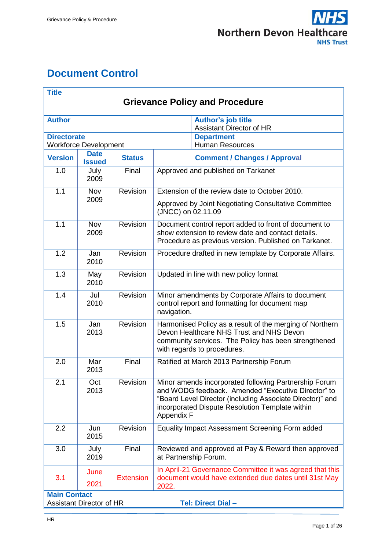# <span id="page-0-0"></span>**Document Control**

| <b>Title</b><br><b>Grievance Policy and Procedure</b> |                                 |                  |                                                                                                                                                                                                                                           |                                                                            |  |
|-------------------------------------------------------|---------------------------------|------------------|-------------------------------------------------------------------------------------------------------------------------------------------------------------------------------------------------------------------------------------------|----------------------------------------------------------------------------|--|
|                                                       |                                 |                  |                                                                                                                                                                                                                                           |                                                                            |  |
| <b>Author</b>                                         |                                 |                  |                                                                                                                                                                                                                                           | Author's job title<br><b>Assistant Director of HR</b>                      |  |
| <b>Directorate</b>                                    | <b>Workforce Development</b>    |                  |                                                                                                                                                                                                                                           | <b>Department</b><br><b>Human Resources</b>                                |  |
| <b>Version</b>                                        | <b>Date</b><br><b>Issued</b>    | <b>Status</b>    |                                                                                                                                                                                                                                           | <b>Comment / Changes / Approval</b>                                        |  |
| 1.0                                                   | July<br>2009                    | Final            | Approved and published on Tarkanet                                                                                                                                                                                                        |                                                                            |  |
| 1.1                                                   | <b>Nov</b>                      | Revision         | Extension of the review date to October 2010.                                                                                                                                                                                             |                                                                            |  |
|                                                       | 2009                            |                  |                                                                                                                                                                                                                                           | Approved by Joint Negotiating Consultative Committee<br>(JNCC) on 02.11.09 |  |
| 1.1                                                   | Nov<br>2009                     | Revision         | Document control report added to front of document to<br>show extension to review date and contact details.<br>Procedure as previous version. Published on Tarkanet.                                                                      |                                                                            |  |
| 1.2                                                   | Jan<br>2010                     | Revision         | Procedure drafted in new template by Corporate Affairs.                                                                                                                                                                                   |                                                                            |  |
| 1.3                                                   | May<br>2010                     | <b>Revision</b>  | Updated in line with new policy format                                                                                                                                                                                                    |                                                                            |  |
| 1.4                                                   | Jul<br>2010                     | Revision         | Minor amendments by Corporate Affairs to document<br>control report and formatting for document map<br>navigation.                                                                                                                        |                                                                            |  |
| 1.5                                                   | Jan<br>2013                     | Revision         | Harmonised Policy as a result of the merging of Northern<br>Devon Healthcare NHS Trust and NHS Devon<br>community services. The Policy has been strengthened<br>with regards to procedures.                                               |                                                                            |  |
| 2.0                                                   | Mar<br>2013                     | Final            | Ratified at March 2013 Partnership Forum                                                                                                                                                                                                  |                                                                            |  |
| 2.1                                                   | Oct<br>2013                     | Revision         | Minor amends incorporated following Partnership Forum<br>and WODG feedback. Amended "Executive Director" to<br>"Board Level Director (including Associate Director)" and<br>incorporated Dispute Resolution Template within<br>Appendix F |                                                                            |  |
| 2.2                                                   | Jun<br>2015                     | Revision         | Equality Impact Assessment Screening Form added                                                                                                                                                                                           |                                                                            |  |
| 3.0                                                   | July<br>2019                    | Final            | Reviewed and approved at Pay & Reward then approved<br>at Partnership Forum.                                                                                                                                                              |                                                                            |  |
| 3.1                                                   | June<br>2021                    | <b>Extension</b> | In April-21 Governance Committee it was agreed that this<br>document would have extended due dates until 31st May<br>2022.                                                                                                                |                                                                            |  |
| <b>Main Contact</b>                                   |                                 |                  |                                                                                                                                                                                                                                           |                                                                            |  |
|                                                       | <b>Assistant Director of HR</b> |                  |                                                                                                                                                                                                                                           | <b>Tel: Direct Dial -</b>                                                  |  |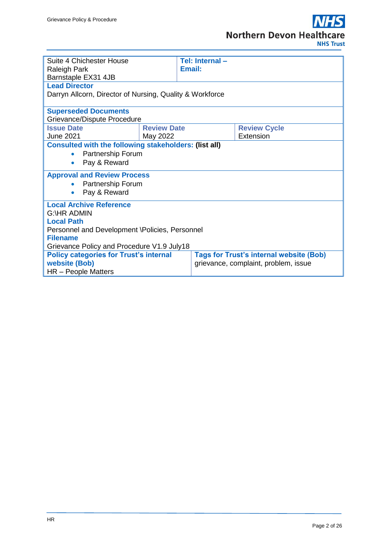

| Suite 4 Chichester House                                                                                                    |                    | Tel: Internal- |                                                |  |  |
|-----------------------------------------------------------------------------------------------------------------------------|--------------------|----------------|------------------------------------------------|--|--|
| <b>Raleigh Park</b>                                                                                                         |                    | Email:         |                                                |  |  |
| Barnstaple EX31 4JB                                                                                                         |                    |                |                                                |  |  |
| <b>Lead Director</b>                                                                                                        |                    |                |                                                |  |  |
| Darryn Allcorn, Director of Nursing, Quality & Workforce                                                                    |                    |                |                                                |  |  |
| <b>Superseded Documents</b>                                                                                                 |                    |                |                                                |  |  |
| Grievance/Dispute Procedure                                                                                                 |                    |                |                                                |  |  |
| <b>Issue Date</b>                                                                                                           | <b>Review Date</b> |                | <b>Review Cycle</b>                            |  |  |
| <b>June 2021</b>                                                                                                            | May 2022           |                | Extension                                      |  |  |
| <b>Consulted with the following stakeholders: (list all)</b><br>Partnership Forum<br>$\bullet$<br>Pay & Reward<br>$\bullet$ |                    |                |                                                |  |  |
| <b>Approval and Review Process</b>                                                                                          |                    |                |                                                |  |  |
| Partnership Forum                                                                                                           |                    |                |                                                |  |  |
| Pay & Reward<br>$\bullet$                                                                                                   |                    |                |                                                |  |  |
| <b>Local Archive Reference</b>                                                                                              |                    |                |                                                |  |  |
| <b>G:\HR ADMIN</b>                                                                                                          |                    |                |                                                |  |  |
| <b>Local Path</b>                                                                                                           |                    |                |                                                |  |  |
| Personnel and Development \Policies, Personnel                                                                              |                    |                |                                                |  |  |
| <b>Filename</b>                                                                                                             |                    |                |                                                |  |  |
| Grievance Policy and Procedure V1.9 July18                                                                                  |                    |                |                                                |  |  |
| <b>Policy categories for Trust's internal</b>                                                                               |                    |                | <b>Tags for Trust's internal website (Bob)</b> |  |  |
| <b>website (Bob)</b>                                                                                                        |                    |                | grievance, complaint, problem, issue           |  |  |
| HR - People Matters                                                                                                         |                    |                |                                                |  |  |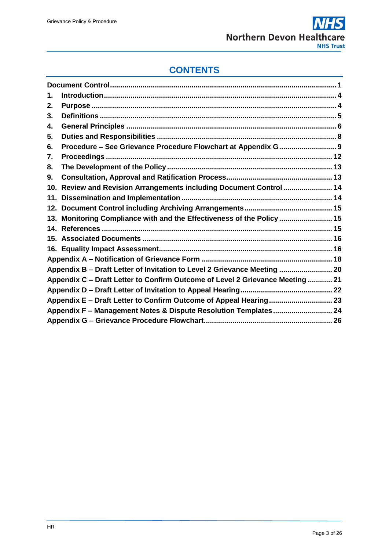# **CONTENTS**

| 1.  |                                                                               |  |  |  |
|-----|-------------------------------------------------------------------------------|--|--|--|
| 2.  |                                                                               |  |  |  |
| 3.  |                                                                               |  |  |  |
| 4.  |                                                                               |  |  |  |
| 5.  |                                                                               |  |  |  |
| 6.  |                                                                               |  |  |  |
| 7.  |                                                                               |  |  |  |
| 8.  |                                                                               |  |  |  |
| 9.  |                                                                               |  |  |  |
| 10. | Review and Revision Arrangements including Document Control  14               |  |  |  |
|     |                                                                               |  |  |  |
|     |                                                                               |  |  |  |
|     | 13. Monitoring Compliance with and the Effectiveness of the Policy  15        |  |  |  |
|     |                                                                               |  |  |  |
|     |                                                                               |  |  |  |
|     |                                                                               |  |  |  |
|     |                                                                               |  |  |  |
|     | Appendix B - Draft Letter of Invitation to Level 2 Grievance Meeting  20      |  |  |  |
|     | Appendix C - Draft Letter to Confirm Outcome of Level 2 Grievance Meeting  21 |  |  |  |
|     |                                                                               |  |  |  |
|     | Appendix E - Draft Letter to Confirm Outcome of Appeal Hearing 23             |  |  |  |
|     | Appendix F - Management Notes & Dispute Resolution Templates 24               |  |  |  |
|     |                                                                               |  |  |  |
|     |                                                                               |  |  |  |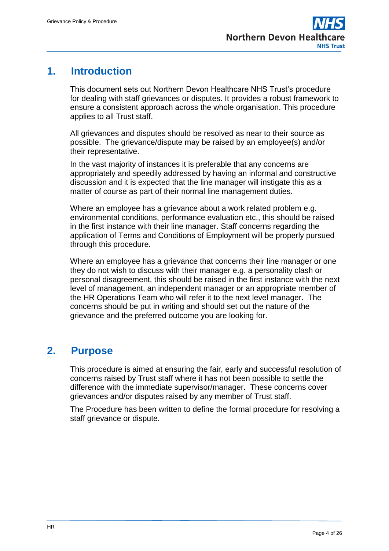# <span id="page-3-0"></span>**1. Introduction**

This document sets out Northern Devon Healthcare NHS Trust's procedure for dealing with staff grievances or disputes. It provides a robust framework to ensure a consistent approach across the whole organisation. This procedure applies to all Trust staff.

All grievances and disputes should be resolved as near to their source as possible. The grievance/dispute may be raised by an employee(s) and/or their representative.

In the vast majority of instances it is preferable that any concerns are appropriately and speedily addressed by having an informal and constructive discussion and it is expected that the line manager will instigate this as a matter of course as part of their normal line management duties.

Where an employee has a grievance about a work related problem e.g. environmental conditions, performance evaluation etc., this should be raised in the first instance with their line manager. Staff concerns regarding the application of Terms and Conditions of Employment will be properly pursued through this procedure.

Where an employee has a grievance that concerns their line manager or one they do not wish to discuss with their manager e.g. a personality clash or personal disagreement, this should be raised in the first instance with the next level of management, an independent manager or an appropriate member of the HR Operations Team who will refer it to the next level manager. The concerns should be put in writing and should set out the nature of the grievance and the preferred outcome you are looking for.

# <span id="page-3-1"></span>**2. Purpose**

This procedure is aimed at ensuring the fair, early and successful resolution of concerns raised by Trust staff where it has not been possible to settle the difference with the immediate supervisor/manager. These concerns cover grievances and/or disputes raised by any member of Trust staff.

The Procedure has been written to define the formal procedure for resolving a staff grievance or dispute.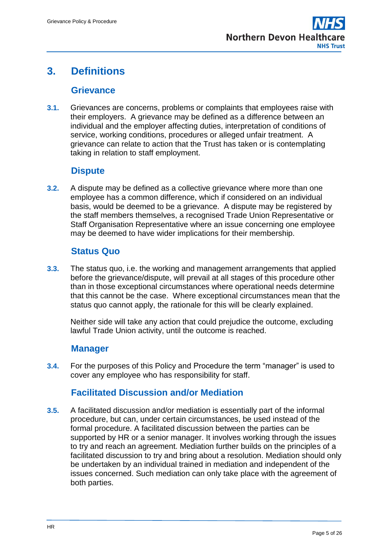# <span id="page-4-0"></span>**3. Definitions**

## **Grievance**

**3.1.** Grievances are concerns, problems or complaints that employees raise with their employers. A grievance may be defined as a difference between an individual and the employer affecting duties, interpretation of conditions of service, working conditions, procedures or alleged unfair treatment. A grievance can relate to action that the Trust has taken or is contemplating taking in relation to staff employment.

## **Dispute**

**3.2.** A dispute may be defined as a collective grievance where more than one employee has a common difference, which if considered on an individual basis, would be deemed to be a grievance. A dispute may be registered by the staff members themselves, a recognised Trade Union Representative or Staff Organisation Representative where an issue concerning one employee may be deemed to have wider implications for their membership.

## **Status Quo**

**3.3.** The status quo, i.e. the working and management arrangements that applied before the grievance/dispute, will prevail at all stages of this procedure other than in those exceptional circumstances where operational needs determine that this cannot be the case. Where exceptional circumstances mean that the status quo cannot apply, the rationale for this will be clearly explained.

Neither side will take any action that could prejudice the outcome, excluding lawful Trade Union activity, until the outcome is reached.

## **Manager**

**3.4.** For the purposes of this Policy and Procedure the term "manager" is used to cover any employee who has responsibility for staff.

## **Facilitated Discussion and/or Mediation**

**3.5.** A facilitated discussion and/or mediation is essentially part of the informal procedure, but can, under certain circumstances, be used instead of the formal procedure. A facilitated discussion between the parties can be supported by HR or a senior manager. It involves working through the issues to try and reach an agreement. Mediation further builds on the principles of a facilitated discussion to try and bring about a resolution. Mediation should only be undertaken by an individual trained in mediation and independent of the issues concerned. Such mediation can only take place with the agreement of both parties.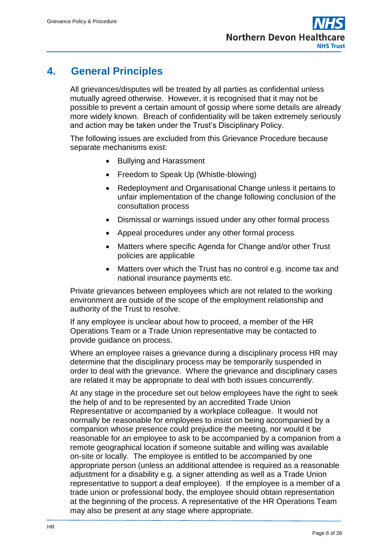# <span id="page-5-0"></span>**4. General Principles**

All grievances/disputes will be treated by all parties as confidential unless mutually agreed otherwise. However, it is recognised that it may not be possible to prevent a certain amount of gossip where some details are already more widely known. Breach of confidentiality will be taken extremely seriously and action may be taken under the Trust's Disciplinary Policy.

The following issues are excluded from this Grievance Procedure because separate mechanisms exist:

- Bullying and Harassment
- Freedom to Speak Up (Whistle-blowing)
- Redeployment and Organisational Change unless it pertains to unfair implementation of the change following conclusion of the consultation process
- Dismissal or warnings issued under any other formal process
- Appeal procedures under any other formal process
- Matters where specific Agenda for Change and/or other Trust policies are applicable
- Matters over which the Trust has no control e.g. income tax and national insurance payments etc.

Private grievances between employees which are not related to the working environment are outside of the scope of the employment relationship and authority of the Trust to resolve.

If any employee is unclear about how to proceed, a member of the HR Operations Team or a Trade Union representative may be contacted to provide guidance on process.

Where an employee raises a grievance during a disciplinary process HR may determine that the disciplinary process may be temporarily suspended in order to deal with the grievance. Where the grievance and disciplinary cases are related it may be appropriate to deal with both issues concurrently.

At any stage in the procedure set out below employees have the right to seek the help of and to be represented by an accredited Trade Union Representative or accompanied by a workplace colleague. It would not normally be reasonable for employees to insist on being accompanied by a companion whose presence could prejudice the meeting, nor would it be reasonable for an employee to ask to be accompanied by a companion from a remote geographical location if someone suitable and willing was available on-site or locally. The employee is entitled to be accompanied by one appropriate person (unless an additional attendee is required as a reasonable adjustment for a disability e.g. a signer attending as well as a Trade Union representative to support a deaf employee). If the employee is a member of a trade union or professional body, the employee should obtain representation at the beginning of the process. A representative of the HR Operations Team may also be present at any stage where appropriate.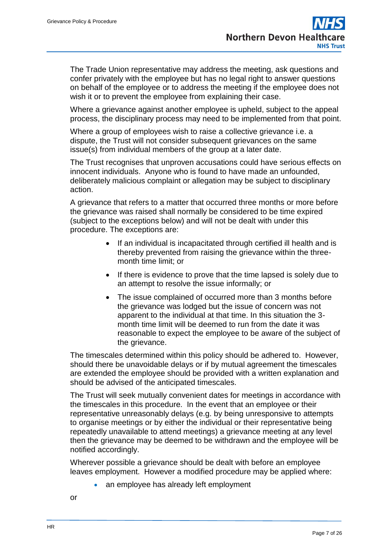The Trade Union representative may address the meeting, ask questions and confer privately with the employee but has no legal right to answer questions on behalf of the employee or to address the meeting if the employee does not wish it or to prevent the employee from explaining their case.

Where a grievance against another employee is upheld, subject to the appeal process, the disciplinary process may need to be implemented from that point.

Where a group of employees wish to raise a collective grievance i.e. a dispute, the Trust will not consider subsequent grievances on the same issue(s) from individual members of the group at a later date.

The Trust recognises that unproven accusations could have serious effects on innocent individuals. Anyone who is found to have made an unfounded, deliberately malicious complaint or allegation may be subject to disciplinary action.

A grievance that refers to a matter that occurred three months or more before the grievance was raised shall normally be considered to be time expired (subject to the exceptions below) and will not be dealt with under this procedure. The exceptions are:

- If an individual is incapacitated through certified ill health and is thereby prevented from raising the grievance within the threemonth time limit; or
- If there is evidence to prove that the time lapsed is solely due to an attempt to resolve the issue informally; or
- The issue complained of occurred more than 3 months before the grievance was lodged but the issue of concern was not apparent to the individual at that time. In this situation the 3 month time limit will be deemed to run from the date it was reasonable to expect the employee to be aware of the subject of the grievance.

The timescales determined within this policy should be adhered to. However, should there be unavoidable delays or if by mutual agreement the timescales are extended the employee should be provided with a written explanation and should be advised of the anticipated timescales.

The Trust will seek mutually convenient dates for meetings in accordance with the timescales in this procedure. In the event that an employee or their representative unreasonably delays (e.g. by being unresponsive to attempts to organise meetings or by either the individual or their representative being repeatedly unavailable to attend meetings) a grievance meeting at any level then the grievance may be deemed to be withdrawn and the employee will be notified accordingly.

Wherever possible a grievance should be dealt with before an employee leaves employment. However a modified procedure may be applied where:

• an employee has already left employment

or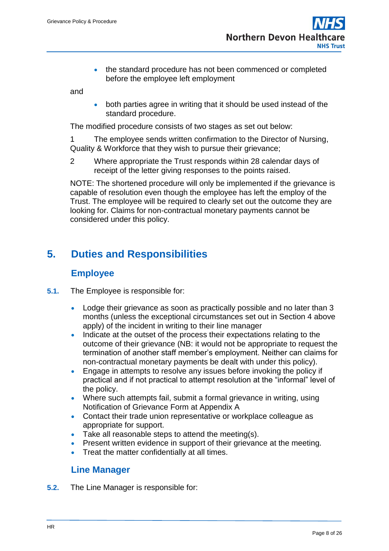the standard procedure has not been commenced or completed before the employee left employment

and

 both parties agree in writing that it should be used instead of the standard procedure.

The modified procedure consists of two stages as set out below:

1 The employee sends written confirmation to the Director of Nursing, Quality & Workforce that they wish to pursue their grievance;

2 Where appropriate the Trust responds within 28 calendar days of receipt of the letter giving responses to the points raised.

NOTE: The shortened procedure will only be implemented if the grievance is capable of resolution even though the employee has left the employ of the Trust. The employee will be required to clearly set out the outcome they are looking for. Claims for non-contractual monetary payments cannot be considered under this policy.

# <span id="page-7-0"></span>**5. Duties and Responsibilities**

### **Employee**

- **5.1.** The Employee is responsible for:
	- Lodge their grievance as soon as practically possible and no later than 3 months (unless the exceptional circumstances set out in Section 4 above apply) of the incident in writing to their line manager
	- Indicate at the outset of the process their expectations relating to the outcome of their grievance (NB: it would not be appropriate to request the termination of another staff member's employment. Neither can claims for non-contractual monetary payments be dealt with under this policy).
	- **Engage in attempts to resolve any issues before invoking the policy if** practical and if not practical to attempt resolution at the "informal" level of the policy.
	- Where such attempts fail, submit a formal grievance in writing, using Notification of Grievance Form at Appendix A
	- Contact their trade union representative or workplace colleague as appropriate for support.
	- Take all reasonable steps to attend the meeting(s).
	- Present written evidence in support of their grievance at the meeting.
	- Treat the matter confidentially at all times.

### **Line Manager**

**5.2.** The Line Manager is responsible for: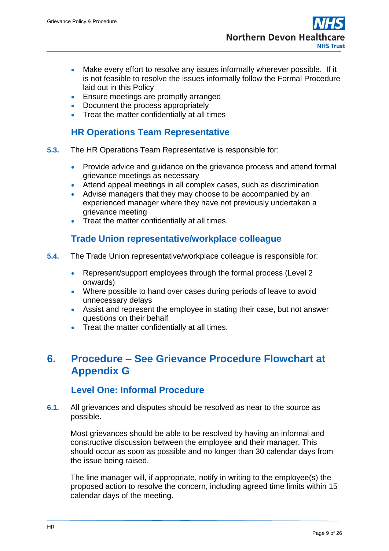- Make every effort to resolve any issues informally wherever possible. If it is not feasible to resolve the issues informally follow the Formal Procedure laid out in this Policy
- **Ensure meetings are promptly arranged**
- Document the process appropriately
- Treat the matter confidentially at all times

## **HR Operations Team Representative**

- **5.3.** The HR Operations Team Representative is responsible for:
	- Provide advice and quidance on the grievance process and attend formal grievance meetings as necessary
	- Attend appeal meetings in all complex cases, such as discrimination
	- Advise managers that they may choose to be accompanied by an experienced manager where they have not previously undertaken a grievance meeting
	- Treat the matter confidentially at all times.

## **Trade Union representative/workplace colleague**

- **5.4.** The Trade Union representative/workplace colleague is responsible for:
	- Represent/support employees through the formal process (Level 2) onwards)
	- Where possible to hand over cases during periods of leave to avoid unnecessary delays
	- Assist and represent the employee in stating their case, but not answer questions on their behalf
	- Treat the matter confidentially at all times.

# <span id="page-8-0"></span>**6. Procedure – See Grievance Procedure Flowchart at Appendix G**

### **Level One: Informal Procedure**

**6.1.** All grievances and disputes should be resolved as near to the source as possible.

Most grievances should be able to be resolved by having an informal and constructive discussion between the employee and their manager. This should occur as soon as possible and no longer than 30 calendar days from the issue being raised.

The line manager will, if appropriate, notify in writing to the employee(s) the proposed action to resolve the concern, including agreed time limits within 15 calendar days of the meeting.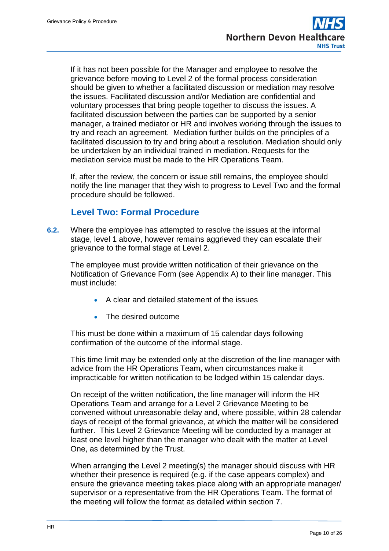If it has not been possible for the Manager and employee to resolve the grievance before moving to Level 2 of the formal process consideration should be given to whether a facilitated discussion or mediation may resolve the issues. Facilitated discussion and/or Mediation are confidential and voluntary processes that bring people together to discuss the issues. A facilitated discussion between the parties can be supported by a senior manager, a trained mediator or HR and involves working through the issues to try and reach an agreement. Mediation further builds on the principles of a facilitated discussion to try and bring about a resolution. Mediation should only be undertaken by an individual trained in mediation. Requests for the mediation service must be made to the HR Operations Team.

If, after the review, the concern or issue still remains, the employee should notify the line manager that they wish to progress to Level Two and the formal procedure should be followed.

## **Level Two: Formal Procedure**

**6.2.** Where the employee has attempted to resolve the issues at the informal stage, level 1 above, however remains aggrieved they can escalate their grievance to the formal stage at Level 2.

The employee must provide written notification of their grievance on the Notification of Grievance Form (see Appendix A) to their line manager. This must include:

- A clear and detailed statement of the issues
- The desired outcome

This must be done within a maximum of 15 calendar days following confirmation of the outcome of the informal stage.

This time limit may be extended only at the discretion of the line manager with advice from the HR Operations Team, when circumstances make it impracticable for written notification to be lodged within 15 calendar days.

On receipt of the written notification, the line manager will inform the HR Operations Team and arrange for a Level 2 Grievance Meeting to be convened without unreasonable delay and, where possible, within 28 calendar days of receipt of the formal grievance, at which the matter will be considered further. This Level 2 Grievance Meeting will be conducted by a manager at least one level higher than the manager who dealt with the matter at Level One, as determined by the Trust.

When arranging the Level 2 meeting(s) the manager should discuss with HR whether their presence is required (e.g. if the case appears complex) and ensure the grievance meeting takes place along with an appropriate manager/ supervisor or a representative from the HR Operations Team. The format of the meeting will follow the format as detailed within section 7.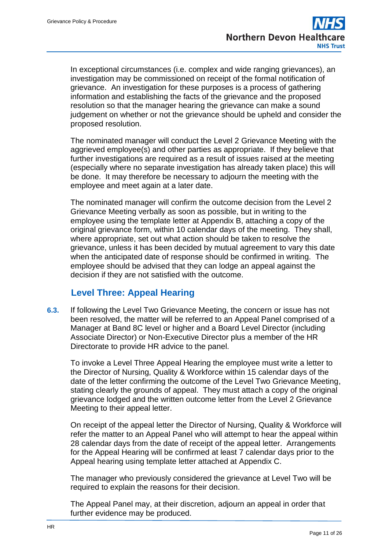In exceptional circumstances (i.e. complex and wide ranging grievances), an investigation may be commissioned on receipt of the formal notification of grievance. An investigation for these purposes is a process of gathering information and establishing the facts of the grievance and the proposed resolution so that the manager hearing the grievance can make a sound judgement on whether or not the grievance should be upheld and consider the proposed resolution.

The nominated manager will conduct the Level 2 Grievance Meeting with the aggrieved employee(s) and other parties as appropriate. If they believe that further investigations are required as a result of issues raised at the meeting (especially where no separate investigation has already taken place) this will be done. It may therefore be necessary to adjourn the meeting with the employee and meet again at a later date.

The nominated manager will confirm the outcome decision from the Level 2 Grievance Meeting verbally as soon as possible, but in writing to the employee using the template letter at Appendix B, attaching a copy of the original grievance form, within 10 calendar days of the meeting. They shall, where appropriate, set out what action should be taken to resolve the grievance, unless it has been decided by mutual agreement to vary this date when the anticipated date of response should be confirmed in writing. The employee should be advised that they can lodge an appeal against the decision if they are not satisfied with the outcome.

## **Level Three: Appeal Hearing**

**6.3.** If following the Level Two Grievance Meeting, the concern or issue has not been resolved, the matter will be referred to an Appeal Panel comprised of a Manager at Band 8C level or higher and a Board Level Director (including Associate Director) or Non-Executive Director plus a member of the HR Directorate to provide HR advice to the panel.

To invoke a Level Three Appeal Hearing the employee must write a letter to the Director of Nursing, Quality & Workforce within 15 calendar days of the date of the letter confirming the outcome of the Level Two Grievance Meeting, stating clearly the grounds of appeal. They must attach a copy of the original grievance lodged and the written outcome letter from the Level 2 Grievance Meeting to their appeal letter.

On receipt of the appeal letter the Director of Nursing, Quality & Workforce will refer the matter to an Appeal Panel who will attempt to hear the appeal within 28 calendar days from the date of receipt of the appeal letter. Arrangements for the Appeal Hearing will be confirmed at least 7 calendar days prior to the Appeal hearing using template letter attached at Appendix C.

The manager who previously considered the grievance at Level Two will be required to explain the reasons for their decision.

The Appeal Panel may, at their discretion, adjourn an appeal in order that further evidence may be produced.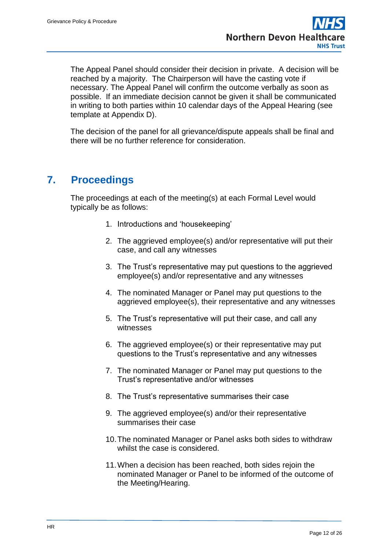The Appeal Panel should consider their decision in private. A decision will be reached by a majority. The Chairperson will have the casting vote if necessary. The Appeal Panel will confirm the outcome verbally as soon as possible. If an immediate decision cannot be given it shall be communicated in writing to both parties within 10 calendar days of the Appeal Hearing (see template at Appendix D).

The decision of the panel for all grievance/dispute appeals shall be final and there will be no further reference for consideration.

# <span id="page-11-0"></span>**7. Proceedings**

The proceedings at each of the meeting(s) at each Formal Level would typically be as follows:

- 1. Introductions and 'housekeeping'
- 2. The aggrieved employee(s) and/or representative will put their case, and call any witnesses
- 3. The Trust's representative may put questions to the aggrieved employee(s) and/or representative and any witnesses
- 4. The nominated Manager or Panel may put questions to the aggrieved employee(s), their representative and any witnesses
- 5. The Trust's representative will put their case, and call any witnesses
- 6. The aggrieved employee(s) or their representative may put questions to the Trust's representative and any witnesses
- 7. The nominated Manager or Panel may put questions to the Trust's representative and/or witnesses
- 8. The Trust's representative summarises their case
- 9. The aggrieved employee(s) and/or their representative summarises their case
- 10.The nominated Manager or Panel asks both sides to withdraw whilst the case is considered.
- 11.When a decision has been reached, both sides rejoin the nominated Manager or Panel to be informed of the outcome of the Meeting/Hearing.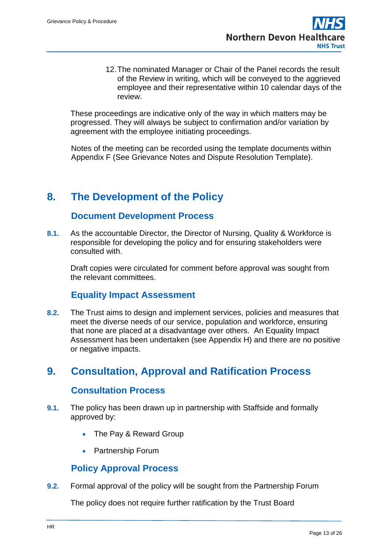12.The nominated Manager or Chair of the Panel records the result of the Review in writing, which will be conveyed to the aggrieved employee and their representative within 10 calendar days of the review.

These proceedings are indicative only of the way in which matters may be progressed. They will always be subject to confirmation and/or variation by agreement with the employee initiating proceedings.

Notes of the meeting can be recorded using the template documents within Appendix F (See Grievance Notes and Dispute Resolution Template).

# <span id="page-12-0"></span>**8. The Development of the Policy**

## **Document Development Process**

**8.1.** As the accountable Director, the Director of Nursing, Quality & Workforce is responsible for developing the policy and for ensuring stakeholders were consulted with.

Draft copies were circulated for comment before approval was sought from the relevant committees.

## **Equality Impact Assessment**

**8.2.** The Trust aims to design and implement services, policies and measures that meet the diverse needs of our service, population and workforce, ensuring that none are placed at a disadvantage over others. An Equality Impact Assessment has been undertaken (see Appendix H) and there are no positive or negative impacts.

# <span id="page-12-1"></span>**9. Consultation, Approval and Ratification Process**

### **Consultation Process**

- **9.1.** The policy has been drawn up in partnership with Staffside and formally approved by:
	- The Pay & Reward Group
	- Partnership Forum

### **Policy Approval Process**

**9.2.** Formal approval of the policy will be sought from the Partnership Forum

The policy does not require further ratification by the Trust Board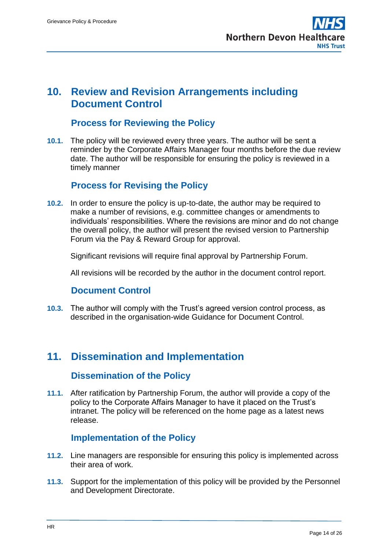

## <span id="page-13-0"></span>**10. Review and Revision Arrangements including Document Control**

## **Process for Reviewing the Policy**

**10.1.** The policy will be reviewed every three years. The author will be sent a reminder by the Corporate Affairs Manager four months before the due review date. The author will be responsible for ensuring the policy is reviewed in a timely manner

### **Process for Revising the Policy**

**10.2.** In order to ensure the policy is up-to-date, the author may be required to make a number of revisions, e.g. committee changes or amendments to individuals' responsibilities. Where the revisions are minor and do not change the overall policy, the author will present the revised version to Partnership Forum via the Pay & Reward Group for approval.

Significant revisions will require final approval by Partnership Forum.

All revisions will be recorded by the author in the document control report.

### **Document Control**

**10.3.** The author will comply with the Trust's agreed version control process, as described in the organisation-wide Guidance for Document Control.

# <span id="page-13-1"></span>**11. Dissemination and Implementation**

### **Dissemination of the Policy**

**11.1.** After ratification by Partnership Forum, the author will provide a copy of the policy to the Corporate Affairs Manager to have it placed on the Trust's intranet. The policy will be referenced on the home page as a latest news release.

### **Implementation of the Policy**

- **11.2.** Line managers are responsible for ensuring this policy is implemented across their area of work.
- **11.3.** Support for the implementation of this policy will be provided by the Personnel and Development Directorate.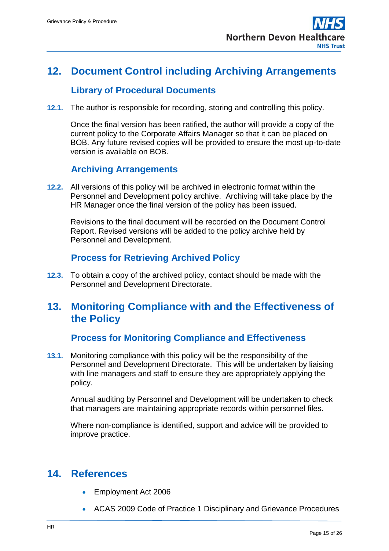

# <span id="page-14-0"></span>**12. Document Control including Archiving Arrangements**

### **Library of Procedural Documents**

**12.1.** The author is responsible for recording, storing and controlling this policy.

Once the final version has been ratified, the author will provide a copy of the current policy to the Corporate Affairs Manager so that it can be placed on BOB. Any future revised copies will be provided to ensure the most up-to-date version is available on BOB.

## **Archiving Arrangements**

**12.2.** All versions of this policy will be archived in electronic format within the Personnel and Development policy archive. Archiving will take place by the HR Manager once the final version of the policy has been issued.

Revisions to the final document will be recorded on the Document Control Report. Revised versions will be added to the policy archive held by Personnel and Development.

## **Process for Retrieving Archived Policy**

**12.3.** To obtain a copy of the archived policy, contact should be made with the Personnel and Development Directorate.

## <span id="page-14-1"></span>**13. Monitoring Compliance with and the Effectiveness of the Policy**

### **Process for Monitoring Compliance and Effectiveness**

**13.1.** Monitoring compliance with this policy will be the responsibility of the Personnel and Development Directorate. This will be undertaken by liaising with line managers and staff to ensure they are appropriately applying the policy.

Annual auditing by Personnel and Development will be undertaken to check that managers are maintaining appropriate records within personnel files.

Where non-compliance is identified, support and advice will be provided to improve practice.

## <span id="page-14-2"></span>**14. References**

- **Employment Act 2006**
- ACAS 2009 Code of Practice 1 Disciplinary and Grievance Procedures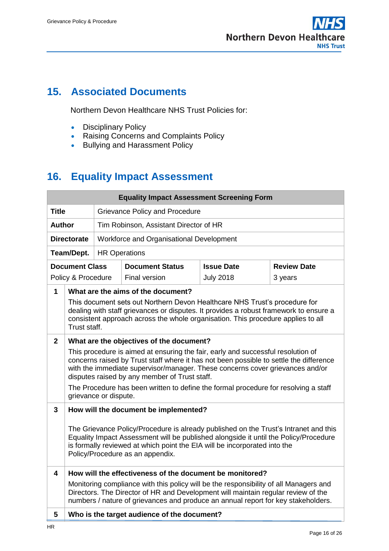

# <span id="page-15-0"></span>**15. Associated Documents**

Northern Devon Healthcare NHS Trust Policies for:

- Disciplinary Policy
- Raising Concerns and Complaints Policy
- Bullying and Harassment Policy

# <span id="page-15-1"></span>**16. Equality Impact Assessment**

| <b>Equality Impact Assessment Screening Form</b> |                                                                                                                                                                                                                                                                                               |                                                                                                                                                                                                                                                                                                              |                                          |                   |                    |  |  |
|--------------------------------------------------|-----------------------------------------------------------------------------------------------------------------------------------------------------------------------------------------------------------------------------------------------------------------------------------------------|--------------------------------------------------------------------------------------------------------------------------------------------------------------------------------------------------------------------------------------------------------------------------------------------------------------|------------------------------------------|-------------------|--------------------|--|--|
| <b>Title</b>                                     |                                                                                                                                                                                                                                                                                               | Grievance Policy and Procedure                                                                                                                                                                                                                                                                               |                                          |                   |                    |  |  |
|                                                  | <b>Author</b><br>Tim Robinson, Assistant Director of HR                                                                                                                                                                                                                                       |                                                                                                                                                                                                                                                                                                              |                                          |                   |                    |  |  |
|                                                  | <b>Directorate</b><br>Workforce and Organisational Development                                                                                                                                                                                                                                |                                                                                                                                                                                                                                                                                                              |                                          |                   |                    |  |  |
|                                                  | Team/Dept.                                                                                                                                                                                                                                                                                    | <b>HR Operations</b>                                                                                                                                                                                                                                                                                         |                                          |                   |                    |  |  |
|                                                  | <b>Document Class</b>                                                                                                                                                                                                                                                                         |                                                                                                                                                                                                                                                                                                              | <b>Document Status</b>                   | <b>Issue Date</b> | <b>Review Date</b> |  |  |
|                                                  | Policy & Procedure                                                                                                                                                                                                                                                                            |                                                                                                                                                                                                                                                                                                              | <b>Final version</b>                     | <b>July 2018</b>  | 3 years            |  |  |
| $\mathbf{1}$                                     |                                                                                                                                                                                                                                                                                               |                                                                                                                                                                                                                                                                                                              | What are the aims of the document?       |                   |                    |  |  |
|                                                  | This document sets out Northern Devon Healthcare NHS Trust's procedure for<br>dealing with staff grievances or disputes. It provides a robust framework to ensure a<br>consistent approach across the whole organisation. This procedure applies to all                                       |                                                                                                                                                                                                                                                                                                              |                                          |                   |                    |  |  |
|                                                  | Trust staff.                                                                                                                                                                                                                                                                                  |                                                                                                                                                                                                                                                                                                              |                                          |                   |                    |  |  |
| $\mathbf{2}$                                     |                                                                                                                                                                                                                                                                                               |                                                                                                                                                                                                                                                                                                              | What are the objectives of the document? |                   |                    |  |  |
|                                                  |                                                                                                                                                                                                                                                                                               | This procedure is aimed at ensuring the fair, early and successful resolution of<br>concerns raised by Trust staff where it has not been possible to settle the difference<br>with the immediate supervisor/manager. These concerns cover grievances and/or<br>disputes raised by any member of Trust staff. |                                          |                   |                    |  |  |
|                                                  | The Procedure has been written to define the formal procedure for resolving a staff<br>grievance or dispute.                                                                                                                                                                                  |                                                                                                                                                                                                                                                                                                              |                                          |                   |                    |  |  |
| 3                                                | How will the document be implemented?                                                                                                                                                                                                                                                         |                                                                                                                                                                                                                                                                                                              |                                          |                   |                    |  |  |
|                                                  | The Grievance Policy/Procedure is already published on the Trust's Intranet and this<br>Equality Impact Assessment will be published alongside it until the Policy/Procedure<br>is formally reviewed at which point the EIA will be incorporated into the<br>Policy/Procedure as an appendix. |                                                                                                                                                                                                                                                                                                              |                                          |                   |                    |  |  |
| $\overline{\mathbf{4}}$                          | How will the effectiveness of the document be monitored?                                                                                                                                                                                                                                      |                                                                                                                                                                                                                                                                                                              |                                          |                   |                    |  |  |
|                                                  |                                                                                                                                                                                                                                                                                               | Monitoring compliance with this policy will be the responsibility of all Managers and<br>Directors. The Director of HR and Development will maintain regular review of the<br>numbers / nature of grievances and produce an annual report for key stakeholders.                                              |                                          |                   |                    |  |  |
| 5                                                | Who is the target audience of the document?                                                                                                                                                                                                                                                   |                                                                                                                                                                                                                                                                                                              |                                          |                   |                    |  |  |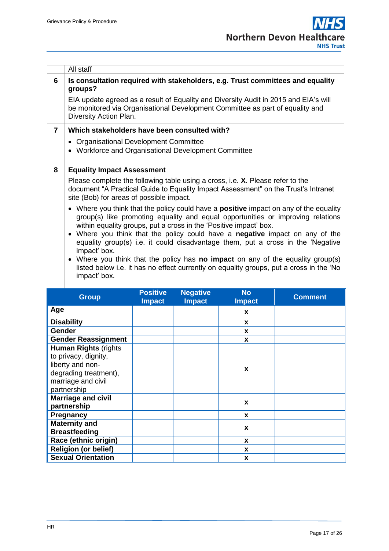|                                                                                                                         | All staff                                                                                                                                                                                                                                                                                                                                                                                                                                                                                                                                                                                                                                                                                                                                                                                                                                                      |                 |                 |               |                |  |
|-------------------------------------------------------------------------------------------------------------------------|----------------------------------------------------------------------------------------------------------------------------------------------------------------------------------------------------------------------------------------------------------------------------------------------------------------------------------------------------------------------------------------------------------------------------------------------------------------------------------------------------------------------------------------------------------------------------------------------------------------------------------------------------------------------------------------------------------------------------------------------------------------------------------------------------------------------------------------------------------------|-----------------|-----------------|---------------|----------------|--|
| 6                                                                                                                       | Is consultation required with stakeholders, e.g. Trust committees and equality<br>groups?<br>EIA update agreed as a result of Equality and Diversity Audit in 2015 and EIA's will<br>be monitored via Organisational Development Committee as part of equality and<br>Diversity Action Plan.                                                                                                                                                                                                                                                                                                                                                                                                                                                                                                                                                                   |                 |                 |               |                |  |
| $\overline{7}$                                                                                                          | Which stakeholders have been consulted with?                                                                                                                                                                                                                                                                                                                                                                                                                                                                                                                                                                                                                                                                                                                                                                                                                   |                 |                 |               |                |  |
|                                                                                                                         | • Organisational Development Committee<br>• Workforce and Organisational Development Committee                                                                                                                                                                                                                                                                                                                                                                                                                                                                                                                                                                                                                                                                                                                                                                 |                 |                 |               |                |  |
| 8                                                                                                                       | <b>Equality Impact Assessment</b>                                                                                                                                                                                                                                                                                                                                                                                                                                                                                                                                                                                                                                                                                                                                                                                                                              |                 |                 |               |                |  |
|                                                                                                                         | Please complete the following table using a cross, i.e. X. Please refer to the<br>document "A Practical Guide to Equality Impact Assessment" on the Trust's Intranet<br>site (Bob) for areas of possible impact.<br>• Where you think that the policy could have a <b>positive</b> impact on any of the equality<br>group(s) like promoting equality and equal opportunities or improving relations<br>within equality groups, put a cross in the 'Positive impact' box.<br>• Where you think that the policy could have a negative impact on any of the<br>equality group(s) i.e. it could disadvantage them, put a cross in the 'Negative<br>impact' box.<br>Where you think that the policy has <b>no impact</b> on any of the equality group(s)<br>listed below i.e. it has no effect currently on equality groups, put a cross in the 'No<br>impact' box. |                 |                 |               |                |  |
|                                                                                                                         | <b>Group</b>                                                                                                                                                                                                                                                                                                                                                                                                                                                                                                                                                                                                                                                                                                                                                                                                                                                   | <b>Positive</b> | <b>Negative</b> | <b>No</b>     | <b>Comment</b> |  |
|                                                                                                                         |                                                                                                                                                                                                                                                                                                                                                                                                                                                                                                                                                                                                                                                                                                                                                                                                                                                                | <b>Impact</b>   | <b>Impact</b>   | <b>Impact</b> |                |  |
| Age                                                                                                                     |                                                                                                                                                                                                                                                                                                                                                                                                                                                                                                                                                                                                                                                                                                                                                                                                                                                                |                 |                 | X             |                |  |
| <b>Disability</b>                                                                                                       |                                                                                                                                                                                                                                                                                                                                                                                                                                                                                                                                                                                                                                                                                                                                                                                                                                                                |                 |                 | x             |                |  |
| Gender                                                                                                                  |                                                                                                                                                                                                                                                                                                                                                                                                                                                                                                                                                                                                                                                                                                                                                                                                                                                                |                 |                 | X             |                |  |
| <b>Gender Reassignment</b>                                                                                              |                                                                                                                                                                                                                                                                                                                                                                                                                                                                                                                                                                                                                                                                                                                                                                                                                                                                |                 |                 | X             |                |  |
| <b>Human Rights (rights)</b><br>to privacy, dignity,<br>liberty and non-<br>degrading treatment),<br>marriage and civil |                                                                                                                                                                                                                                                                                                                                                                                                                                                                                                                                                                                                                                                                                                                                                                                                                                                                |                 |                 | x             |                |  |

**Marriage and civil partnership <sup>x</sup> Pregnancy x** 

**Breastfeeding x Race (ethnic origin) x Religion (or belief) x Sexual Orientation** 

partnership

**Maternity and**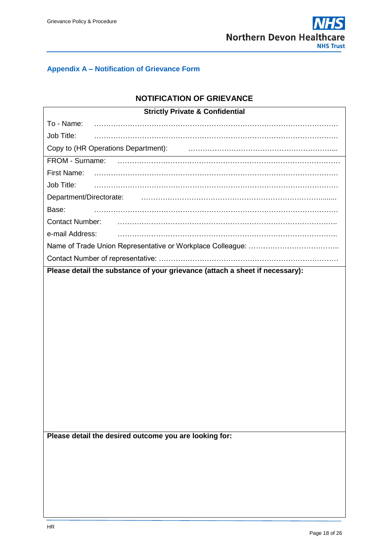

### <span id="page-17-0"></span>**Appendix A – Notification of Grievance Form**

### **NOTIFICATION OF GRIEVANCE**

| <b>Strictly Private &amp; Confidential</b>                                   |  |  |  |  |
|------------------------------------------------------------------------------|--|--|--|--|
| To - Name:                                                                   |  |  |  |  |
| Job Title:                                                                   |  |  |  |  |
| Copy to (HR Operations Department): Copy to (HR Operations Department):      |  |  |  |  |
| FROM - Surname:                                                              |  |  |  |  |
| First Name:                                                                  |  |  |  |  |
| Job Title:                                                                   |  |  |  |  |
| Department/Directorate:                                                      |  |  |  |  |
| Base:                                                                        |  |  |  |  |
| <b>Contact Number:</b>                                                       |  |  |  |  |
| e-mail Address:                                                              |  |  |  |  |
|                                                                              |  |  |  |  |
|                                                                              |  |  |  |  |
| Please detail the substance of your grievance (attach a sheet if necessary): |  |  |  |  |
|                                                                              |  |  |  |  |
|                                                                              |  |  |  |  |
|                                                                              |  |  |  |  |
|                                                                              |  |  |  |  |
|                                                                              |  |  |  |  |
|                                                                              |  |  |  |  |
|                                                                              |  |  |  |  |
|                                                                              |  |  |  |  |
|                                                                              |  |  |  |  |
|                                                                              |  |  |  |  |
|                                                                              |  |  |  |  |
|                                                                              |  |  |  |  |
|                                                                              |  |  |  |  |
|                                                                              |  |  |  |  |
| Please detail the desired outcome you are looking for:                       |  |  |  |  |
|                                                                              |  |  |  |  |
|                                                                              |  |  |  |  |
|                                                                              |  |  |  |  |
|                                                                              |  |  |  |  |
|                                                                              |  |  |  |  |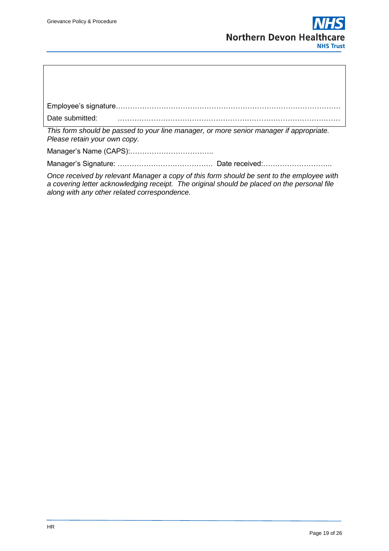

| This form should be passed to your line manager, or more senior manager if appropriate. |
|-----------------------------------------------------------------------------------------|

*Please retain your own copy.*

Manager's Name (CAPS):……………………………..

Manager's Signature: …………………………………. Date received:………………………..

*Once received by relevant Manager a copy of this form should be sent to the employee with a covering letter acknowledging receipt. The original should be placed on the personal file along with any other related correspondence.*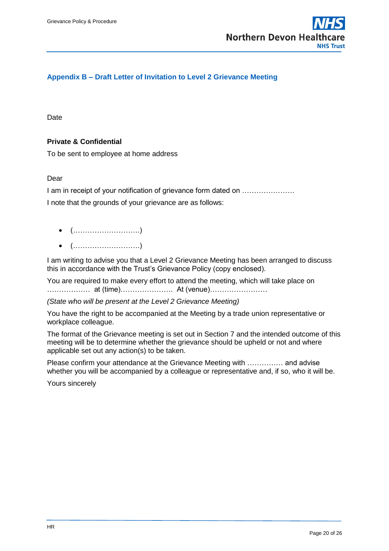

### <span id="page-19-0"></span>**Appendix B – Draft Letter of Invitation to Level 2 Grievance Meeting**

Date

#### **Private & Confidential**

To be sent to employee at home address

#### Dear

I am in receipt of your notification of grievance form dated on ………………….

I note that the grounds of your grievance are as follows:

- (……………………….)
- (……………………….)

I am writing to advise you that a Level 2 Grievance Meeting has been arranged to discuss this in accordance with the Trust's Grievance Policy (copy enclosed).

You are required to make every effort to attend the meeting, which will take place on ……………… at (time)…………………. At (venue)……………………

*(State who will be present at the Level 2 Grievance Meeting)*

You have the right to be accompanied at the Meeting by a trade union representative or workplace colleague.

The format of the Grievance meeting is set out in Section 7 and the intended outcome of this meeting will be to determine whether the grievance should be upheld or not and where applicable set out any action(s) to be taken.

Please confirm your attendance at the Grievance Meeting with …………… and advise whether you will be accompanied by a colleague or representative and, if so, who it will be.

Yours sincerely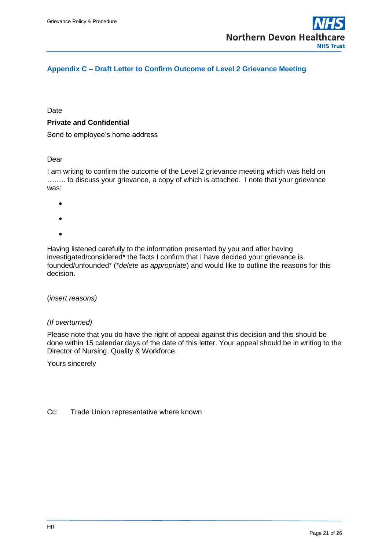

### <span id="page-20-0"></span>**Appendix C – Draft Letter to Confirm Outcome of Level 2 Grievance Meeting**

Date

#### **Private and Confidential**

Send to employee's home address

#### Dear

I am writing to confirm the outcome of the Level 2 grievance meeting which was held on …….. to discuss your grievance, a copy of which is attached. I note that your grievance was:

- $\bullet$
- 
- $\bullet$
- $\bullet$

Having listened carefully to the information presented by you and after having investigated/considered\* the facts I confirm that I have decided your grievance is founded/unfounded\* (\**delete as appropriate*) and would like to outline the reasons for this decision.

(*insert reasons)*

#### *(If overturned)*

Please note that you do have the right of appeal against this decision and this should be done within 15 calendar days of the date of this letter. Your appeal should be in writing to the Director of Nursing, Quality & Workforce.

Yours sincerely

Cc: Trade Union representative where known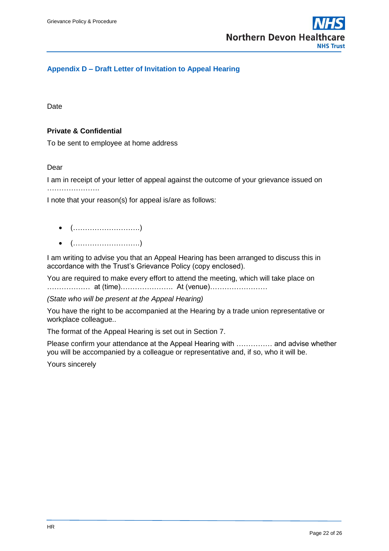

#### <span id="page-21-0"></span>**Appendix D – Draft Letter of Invitation to Appeal Hearing**

Date

#### **Private & Confidential**

To be sent to employee at home address

#### Dear

I am in receipt of your letter of appeal against the outcome of your grievance issued on ………………….

I note that your reason(s) for appeal is/are as follows:

- (……………………….)
- (……………………….)

I am writing to advise you that an Appeal Hearing has been arranged to discuss this in accordance with the Trust's Grievance Policy (copy enclosed).

You are required to make every effort to attend the meeting, which will take place on ……………… at (time)…………………. At (venue)……………………

*(State who will be present at the Appeal Hearing)*

You have the right to be accompanied at the Hearing by a trade union representative or workplace colleague..

The format of the Appeal Hearing is set out in Section 7.

Please confirm your attendance at the Appeal Hearing with …………… and advise whether you will be accompanied by a colleague or representative and, if so, who it will be.

Yours sincerely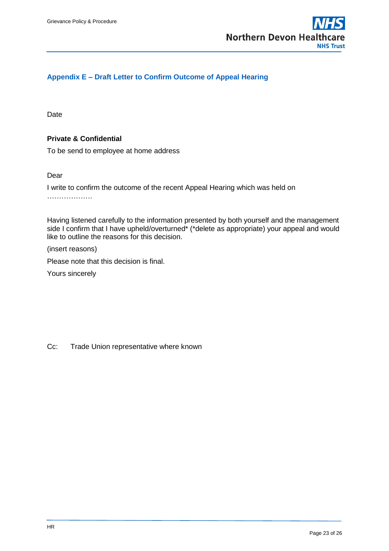

### <span id="page-22-0"></span>**Appendix E – Draft Letter to Confirm Outcome of Appeal Hearing**

**Date** 

#### **Private & Confidential**

To be send to employee at home address

Dear

I write to confirm the outcome of the recent Appeal Hearing which was held on

…………………

Having listened carefully to the information presented by both yourself and the management side I confirm that I have upheld/overturned\* (\*delete as appropriate) your appeal and would like to outline the reasons for this decision.

(insert reasons)

Please note that this decision is final.

Yours sincerely

Cc: Trade Union representative where known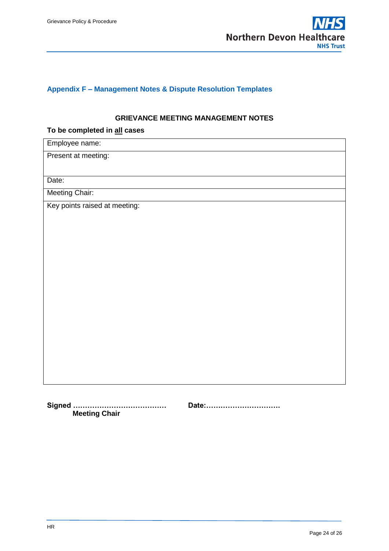

### <span id="page-23-0"></span>**Appendix F – Management Notes & Dispute Resolution Templates**

#### **GRIEVANCE MEETING MANAGEMENT NOTES**

#### **To be completed in all cases**

| Employee name:                |  |  |  |  |
|-------------------------------|--|--|--|--|
| Present at meeting:           |  |  |  |  |
|                               |  |  |  |  |
| Date:                         |  |  |  |  |
| Meeting Chair:                |  |  |  |  |
| Key points raised at meeting: |  |  |  |  |
|                               |  |  |  |  |
|                               |  |  |  |  |
|                               |  |  |  |  |
|                               |  |  |  |  |
|                               |  |  |  |  |
|                               |  |  |  |  |
|                               |  |  |  |  |
|                               |  |  |  |  |
|                               |  |  |  |  |
|                               |  |  |  |  |
|                               |  |  |  |  |
|                               |  |  |  |  |
|                               |  |  |  |  |
|                               |  |  |  |  |

**Signed ………………………………… Date:…………………………. Meeting Chair**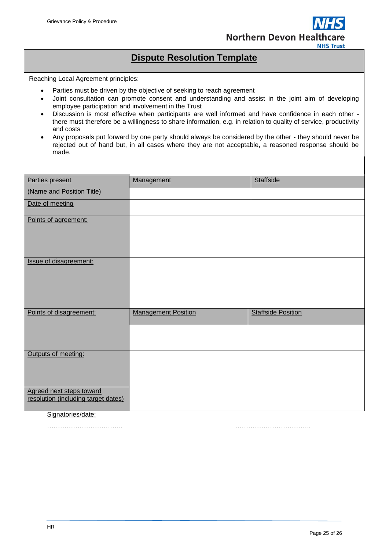

## **Dispute Resolution Template**

Reaching Local Agreement principles:

- Parties must be driven by the objective of seeking to reach agreement
- Joint consultation can promote consent and understanding and assist in the joint aim of developing employee participation and involvement in the Trust
- Discussion is most effective when participants are well informed and have confidence in each other there must therefore be a willingness to share information, e.g. in relation to quality of service, productivity and costs
- Any proposals put forward by one party should always be considered by the other they should never be rejected out of hand but, in all cases where they are not acceptable, a reasoned response should be made.

| Parties present                     | Management                 | <b>Staffside</b>          |
|-------------------------------------|----------------------------|---------------------------|
|                                     |                            |                           |
| (Name and Position Title)           |                            |                           |
| Date of meeting                     |                            |                           |
|                                     |                            |                           |
| Points of agreement:                |                            |                           |
|                                     |                            |                           |
|                                     |                            |                           |
|                                     |                            |                           |
| <b>Issue of disagreement:</b>       |                            |                           |
|                                     |                            |                           |
|                                     |                            |                           |
|                                     |                            |                           |
|                                     |                            |                           |
|                                     |                            |                           |
| Points of disagreement:             | <b>Management Position</b> | <b>Staffside Position</b> |
|                                     |                            |                           |
|                                     |                            |                           |
|                                     |                            |                           |
| Outputs of meeting:                 |                            |                           |
|                                     |                            |                           |
|                                     |                            |                           |
|                                     |                            |                           |
| Agreed next steps toward            |                            |                           |
| resolution (including target dates) |                            |                           |
|                                     |                            |                           |

#### Signatories/date:

…………………………….. ……………………………..